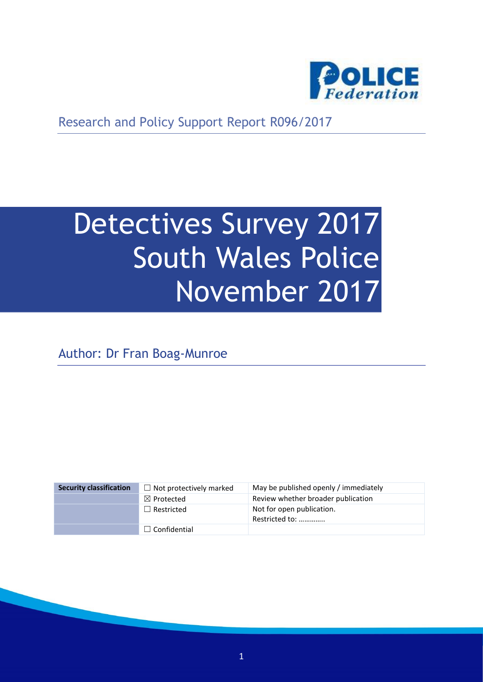

Research and Policy Support Report R096/2017

# Detectives Survey 2017 South Wales Police November 2017

Author: Dr Fran Boag-Munroe

| <b>Security classification</b> | $\Box$ Not protectively marked | May be published openly / immediately       |
|--------------------------------|--------------------------------|---------------------------------------------|
|                                | $\boxtimes$ Protected          | Review whether broader publication          |
|                                | $\Box$ Restricted              | Not for open publication.<br>Restricted to: |
|                                | $\Box$ Confidential            |                                             |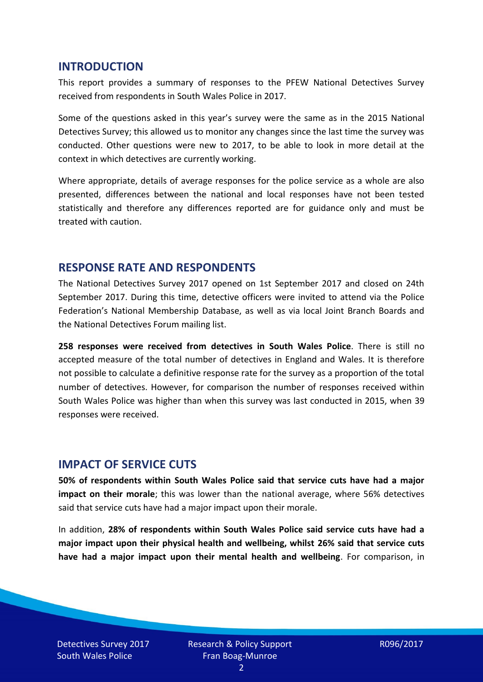#### **INTRODUCTION**

This report provides a summary of responses to the PFEW National Detectives Survey received from respondents in South Wales Police in 2017.

Some of the questions asked in this year's survey were the same as in the 2015 National Detectives Survey; this allowed us to monitor any changes since the last time the survey was conducted. Other questions were new to 2017, to be able to look in more detail at the context in which detectives are currently working.

Where appropriate, details of average responses for the police service as a whole are also presented, differences between the national and local responses have not been tested statistically and therefore any differences reported are for guidance only and must be treated with caution.

#### **RESPONSE RATE AND RESPONDENTS**

The National Detectives Survey 2017 opened on 1st September 2017 and closed on 24th September 2017. During this time, detective officers were invited to attend via the Police Federation's National Membership Database, as well as via local Joint Branch Boards and the National Detectives Forum mailing list.

**258 responses were received from detectives in South Wales Police**. There is still no accepted measure of the total number of detectives in England and Wales. It is therefore not possible to calculate a definitive response rate for the survey as a proportion of the total number of detectives. However, for comparison the number of responses received within South Wales Police was higher than when this survey was last conducted in 2015, when 39 responses were received.

#### **IMPACT OF SERVICE CUTS**

**50% of respondents within South Wales Police said that service cuts have had a major impact on their morale**; this was lower than the national average, where 56% detectives said that service cuts have had a major impact upon their morale.

In addition, **28% of respondents within South Wales Police said service cuts have had a major impact upon their physical health and wellbeing, whilst 26% said that service cuts have had a major impact upon their mental health and wellbeing**. For comparison, in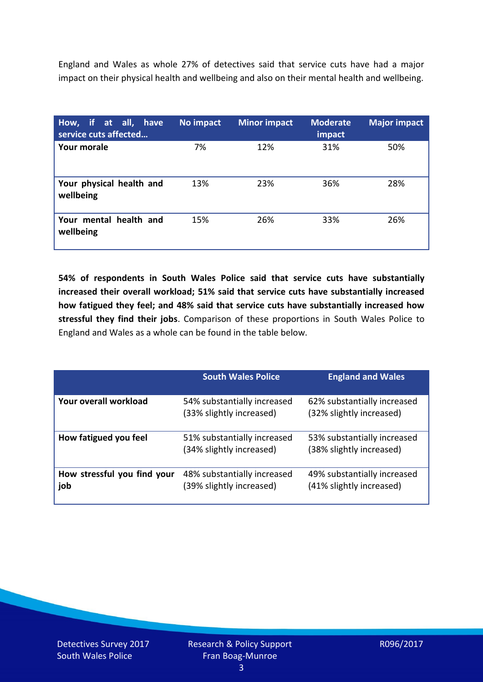England and Wales as whole 27% of detectives said that service cuts have had a major impact on their physical health and wellbeing and also on their mental health and wellbeing.

| How, if at all, have<br>service cuts affected | No impact | <b>Minor impact</b> | <b>Moderate</b><br>impact | <b>Major impact</b> |
|-----------------------------------------------|-----------|---------------------|---------------------------|---------------------|
| <b>Your morale</b>                            | 7%        | 12%                 | 31%                       | 50%                 |
| Your physical health and<br>wellbeing         | 13%       | 23%                 | 36%                       | 28%                 |
| Your mental health and<br>wellbeing           | 15%       | 26%                 | 33%                       | 26%                 |

**54% of respondents in South Wales Police said that service cuts have substantially increased their overall workload; 51% said that service cuts have substantially increased how fatigued they feel; and 48% said that service cuts have substantially increased how stressful they find their jobs**. Comparison of these proportions in South Wales Police to England and Wales as a whole can be found in the table below.

|                                    | <b>South Wales Police</b>                               | <b>England and Wales</b>                                |
|------------------------------------|---------------------------------------------------------|---------------------------------------------------------|
| Your overall workload              | 54% substantially increased<br>(33% slightly increased) | 62% substantially increased<br>(32% slightly increased) |
| How fatigued you feel              | 51% substantially increased<br>(34% slightly increased) | 53% substantially increased<br>(38% slightly increased) |
| How stressful you find your<br>job | 48% substantially increased<br>(39% slightly increased) | 49% substantially increased<br>(41% slightly increased) |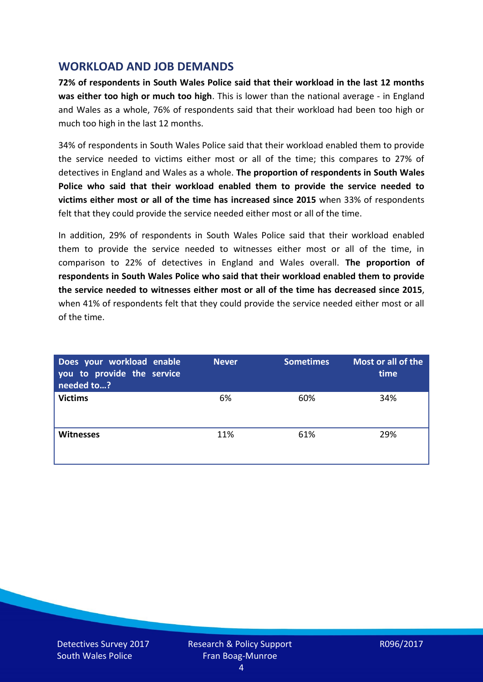## **WORKLOAD AND JOB DEMANDS**

**72% of respondents in South Wales Police said that their workload in the last 12 months was either too high or much too high**. This is lower than the national average - in England and Wales as a whole, 76% of respondents said that their workload had been too high or much too high in the last 12 months.

34% of respondents in South Wales Police said that their workload enabled them to provide the service needed to victims either most or all of the time; this compares to 27% of detectives in England and Wales as a whole. **The proportion of respondents in South Wales Police who said that their workload enabled them to provide the service needed to victims either most or all of the time has increased since 2015** when 33% of respondents felt that they could provide the service needed either most or all of the time.

In addition, 29% of respondents in South Wales Police said that their workload enabled them to provide the service needed to witnesses either most or all of the time, in comparison to 22% of detectives in England and Wales overall. **The proportion of respondents in South Wales Police who said that their workload enabled them to provide the service needed to witnesses either most or all of the time has decreased since 2015**, when 41% of respondents felt that they could provide the service needed either most or all of the time.

| Does your workload enable<br>you to provide the service<br>needed to? | <b>Never</b> | <b>Sometimes</b> | Most or all of the<br>time |
|-----------------------------------------------------------------------|--------------|------------------|----------------------------|
| <b>Victims</b>                                                        | 6%           | 60%              | 34%                        |
| <b>Witnesses</b>                                                      | 11%          | 61%              | 29%                        |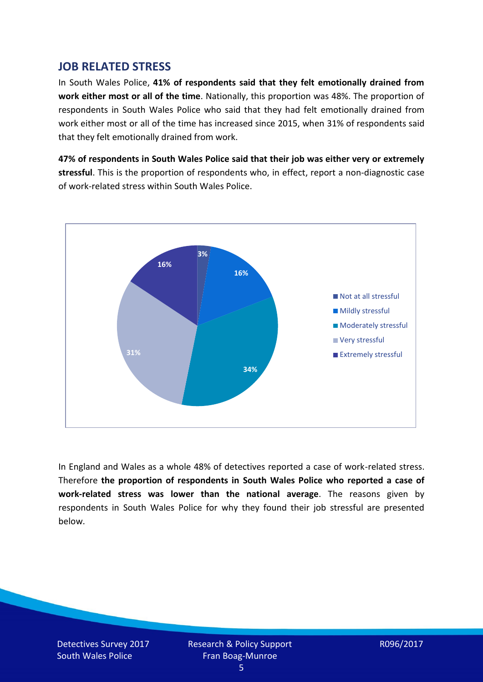## **JOB RELATED STRESS**

In South Wales Police, **41% of respondents said that they felt emotionally drained from work either most or all of the time**. Nationally, this proportion was 48%. The proportion of respondents in South Wales Police who said that they had felt emotionally drained from work either most or all of the time has increased since 2015, when 31% of respondents said that they felt emotionally drained from work.

**47% of respondents in South Wales Police said that their job was either very or extremely stressful**. This is the proportion of respondents who, in effect, report a non-diagnostic case of work-related stress within South Wales Police.



In England and Wales as a whole 48% of detectives reported a case of work-related stress. Therefore **the proportion of respondents in South Wales Police who reported a case of work-related stress was lower than the national average**. The reasons given by respondents in South Wales Police for why they found their job stressful are presented below.

Detectives Survey 2017 South Wales Police

Research & Policy Support Fran Boag-Munroe

R096/2017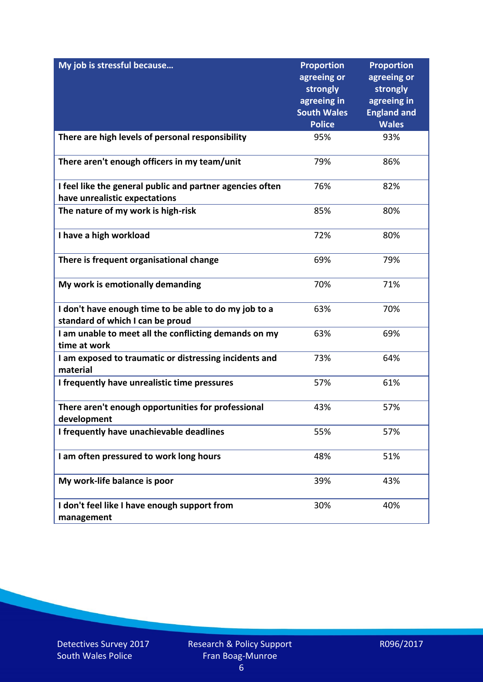| My job is stressful because                                                                | <b>Proportion</b><br>agreeing or<br>strongly<br>agreeing in<br><b>South Wales</b> | <b>Proportion</b><br>agreeing or<br>strongly<br>agreeing in<br><b>England and</b> |
|--------------------------------------------------------------------------------------------|-----------------------------------------------------------------------------------|-----------------------------------------------------------------------------------|
|                                                                                            | <b>Police</b>                                                                     | <b>Wales</b>                                                                      |
| There are high levels of personal responsibility                                           | 95%                                                                               | 93%                                                                               |
| There aren't enough officers in my team/unit                                               | 79%                                                                               | 86%                                                                               |
| I feel like the general public and partner agencies often<br>have unrealistic expectations | 76%                                                                               | 82%                                                                               |
|                                                                                            |                                                                                   |                                                                                   |
| The nature of my work is high-risk                                                         | 85%                                                                               | 80%                                                                               |
| I have a high workload                                                                     | 72%                                                                               | 80%                                                                               |
| There is frequent organisational change                                                    | 69%                                                                               | 79%                                                                               |
| My work is emotionally demanding                                                           | 70%                                                                               | 71%                                                                               |
| I don't have enough time to be able to do my job to a<br>standard of which I can be proud  | 63%                                                                               | 70%                                                                               |
| I am unable to meet all the conflicting demands on my<br>time at work                      | 63%                                                                               | 69%                                                                               |
| I am exposed to traumatic or distressing incidents and<br>material                         | 73%                                                                               | 64%                                                                               |
| I frequently have unrealistic time pressures                                               | 57%                                                                               | 61%                                                                               |
| There aren't enough opportunities for professional<br>development                          | 43%                                                                               | 57%                                                                               |
| I frequently have unachievable deadlines                                                   | 55%                                                                               | 57%                                                                               |
| I am often pressured to work long hours                                                    | 48%                                                                               | 51%                                                                               |
| My work-life balance is poor                                                               | 39%                                                                               | 43%                                                                               |
| I don't feel like I have enough support from<br>management                                 | 30%                                                                               | 40%                                                                               |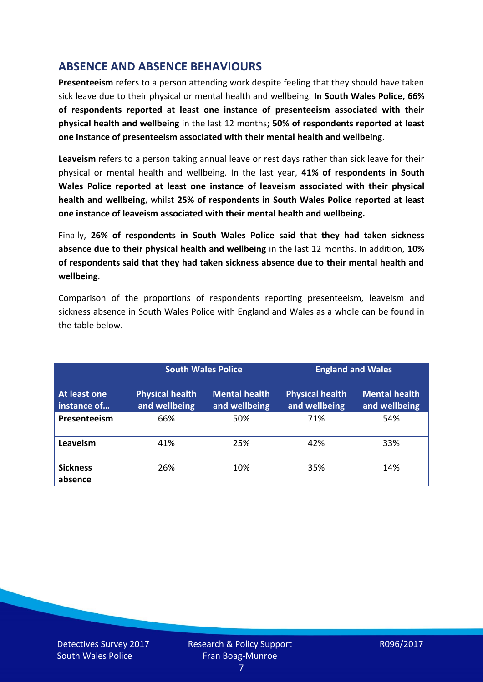# **ABSENCE AND ABSENCE BEHAVIOURS**

**Presenteeism** refers to a person attending work despite feeling that they should have taken sick leave due to their physical or mental health and wellbeing. **In South Wales Police, 66% of respondents reported at least one instance of presenteeism associated with their physical health and wellbeing** in the last 12 months**; 50% of respondents reported at least one instance of presenteeism associated with their mental health and wellbeing**.

**Leaveism** refers to a person taking annual leave or rest days rather than sick leave for their physical or mental health and wellbeing. In the last year, **41% of respondents in South Wales Police reported at least one instance of leaveism associated with their physical health and wellbeing**, whilst **25% of respondents in South Wales Police reported at least one instance of leaveism associated with their mental health and wellbeing.**

Finally, **26% of respondents in South Wales Police said that they had taken sickness absence due to their physical health and wellbeing** in the last 12 months. In addition, **10% of respondents said that they had taken sickness absence due to their mental health and wellbeing**.

Comparison of the proportions of respondents reporting presenteeism, leaveism and sickness absence in South Wales Police with England and Wales as a whole can be found in the table below.

|                             |                                         | <b>South Wales Police</b>             |                                         | <b>England and Wales</b>              |
|-----------------------------|-----------------------------------------|---------------------------------------|-----------------------------------------|---------------------------------------|
| At least one<br>instance of | <b>Physical health</b><br>and wellbeing | <b>Mental health</b><br>and wellbeing | <b>Physical health</b><br>and wellbeing | <b>Mental health</b><br>and wellbeing |
| Presenteeism                | 66%                                     | 50%                                   | 71%                                     | 54%                                   |
| Leaveism                    | 41%                                     | 25%                                   | 42%                                     | 33%                                   |
| <b>Sickness</b><br>absence  | 26%                                     | 10%                                   | 35%                                     | 14%                                   |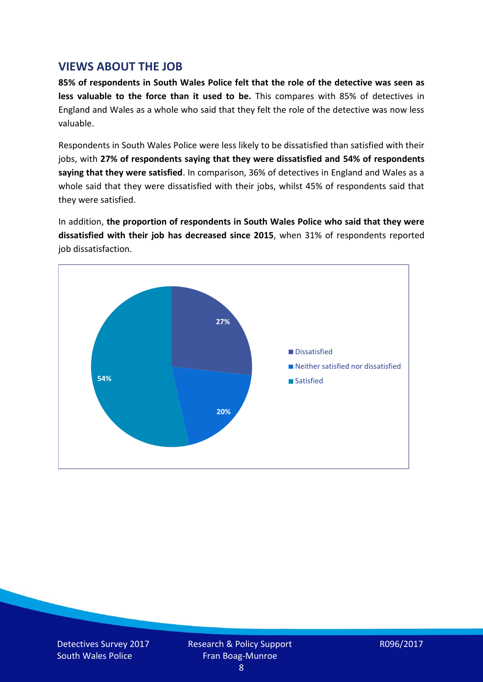## **VIEWS ABOUT THE JOB**

**85% of respondents in South Wales Police felt that the role of the detective was seen as less valuable to the force than it used to be.** This compares with 85% of detectives in England and Wales as a whole who said that they felt the role of the detective was now less valuable.

Respondents in South Wales Police were less likely to be dissatisfied than satisfied with their jobs, with **27% of respondents saying that they were dissatisfied and 54% of respondents saying that they were satisfied**. In comparison, 36% of detectives in England and Wales as a whole said that they were dissatisfied with their jobs, whilst 45% of respondents said that they were satisfied.

In addition, **the proportion of respondents in South Wales Police who said that they were dissatisfied with their job has decreased since 2015**, when 31% of respondents reported job dissatisfaction.

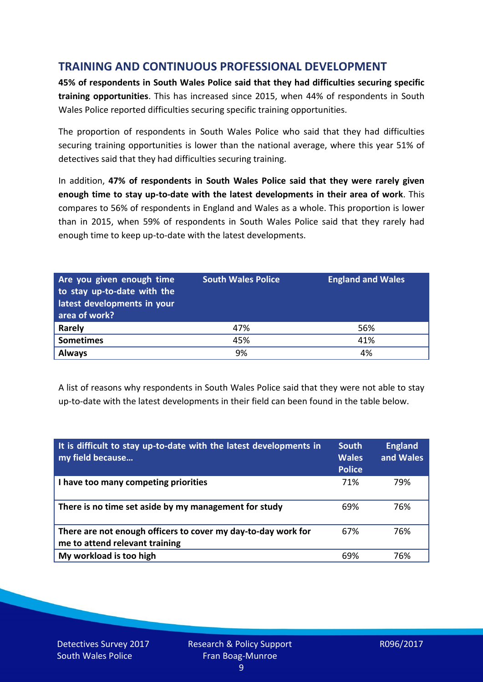# **TRAINING AND CONTINUOUS PROFESSIONAL DEVELOPMENT**

**45% of respondents in South Wales Police said that they had difficulties securing specific training opportunities**. This has increased since 2015, when 44% of respondents in South Wales Police reported difficulties securing specific training opportunities.

The proportion of respondents in South Wales Police who said that they had difficulties securing training opportunities is lower than the national average, where this year 51% of detectives said that they had difficulties securing training.

In addition, **47% of respondents in South Wales Police said that they were rarely given enough time to stay up-to-date with the latest developments in their area of work**. This compares to 56% of respondents in England and Wales as a whole. This proportion is lower than in 2015, when 59% of respondents in South Wales Police said that they rarely had enough time to keep up-to-date with the latest developments.

| Are you given enough time<br>to stay up-to-date with the<br>latest developments in your<br>area of work? | <b>South Wales Police</b> | <b>England and Wales</b> |
|----------------------------------------------------------------------------------------------------------|---------------------------|--------------------------|
| Rarely                                                                                                   | 47%                       | 56%                      |
| <b>Sometimes</b>                                                                                         | 45%                       | 41%                      |
| <b>Always</b>                                                                                            | 9%                        | 4%                       |

A list of reasons why respondents in South Wales Police said that they were not able to stay up-to-date with the latest developments in their field can been found in the table below.

| It is difficult to stay up-to-date with the latest developments in<br>my field because          | <b>South</b><br><b>Wales</b><br><b>Police</b> | <b>England</b><br>and Wales |
|-------------------------------------------------------------------------------------------------|-----------------------------------------------|-----------------------------|
| I have too many competing priorities                                                            | 71%                                           | 79%                         |
| There is no time set aside by my management for study                                           | 69%                                           | 76%                         |
| There are not enough officers to cover my day-to-day work for<br>me to attend relevant training | 67%                                           | 76%                         |
| My workload is too high                                                                         | 69%                                           | 76%                         |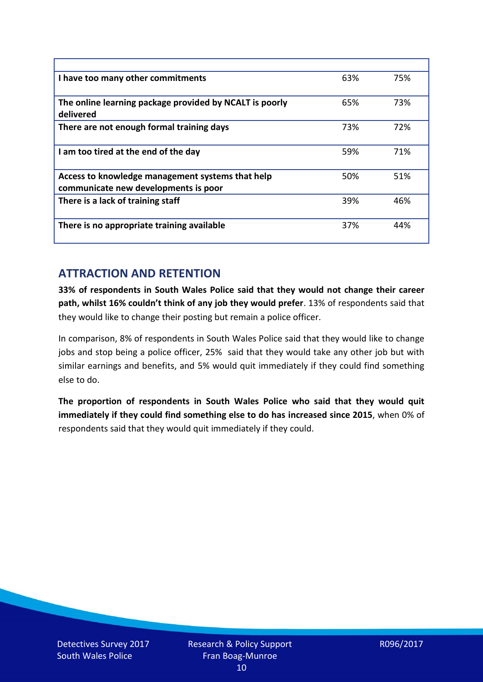| I have too many other commitments                                                        | 63% | 75% |
|------------------------------------------------------------------------------------------|-----|-----|
| The online learning package provided by NCALT is poorly<br>delivered                     | 65% | 73% |
| There are not enough formal training days                                                | 73% | 72% |
| I am too tired at the end of the day                                                     | 59% | 71% |
| Access to knowledge management systems that help<br>communicate new developments is poor | 50% | 51% |
| There is a lack of training staff                                                        | 39% | 46% |
| There is no appropriate training available                                               | 37% | 44% |

# **ATTRACTION AND RETENTION**

**33% of respondents in South Wales Police said that they would not change their career path, whilst 16% couldn't think of any job they would prefer**. 13% of respondents said that they would like to change their posting but remain a police officer.

In comparison, 8% of respondents in South Wales Police said that they would like to change jobs and stop being a police officer, 25% said that they would take any other job but with similar earnings and benefits, and 5% would quit immediately if they could find something else to do.

**The proportion of respondents in South Wales Police who said that they would quit immediately if they could find something else to do has increased since 2015**, when 0% of respondents said that they would quit immediately if they could.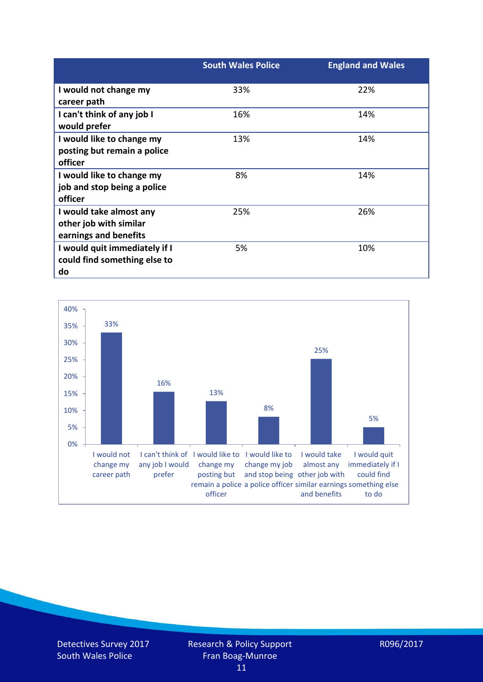|                                                                            | <b>South Wales Police</b> | <b>England and Wales</b> |
|----------------------------------------------------------------------------|---------------------------|--------------------------|
| I would not change my<br>career path                                       | 33%                       | 22%                      |
| I can't think of any job I<br>would prefer                                 | 16%                       | 14%                      |
| I would like to change my<br>posting but remain a police<br>officer        | 13%                       | 14%                      |
| I would like to change my<br>job and stop being a police<br>officer        | 8%                        | 14%                      |
| I would take almost any<br>other job with similar<br>earnings and benefits | 25%                       | 26%                      |
| I would quit immediately if I<br>could find something else to<br>do        | 5%                        | 10%                      |